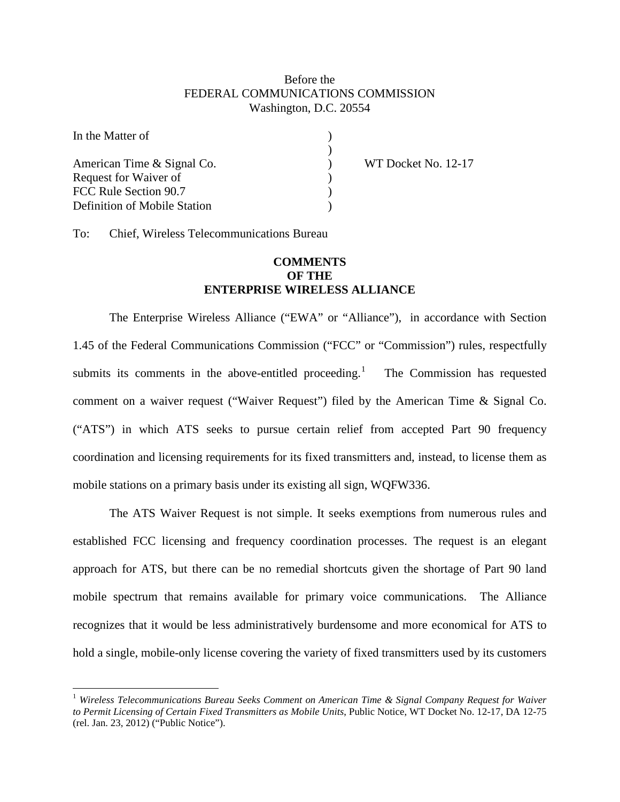## Before the FEDERAL COMMUNICATIONS COMMISSION Washington, D.C. 20554

)<br>)<br>)

| In the Matter of             |  |
|------------------------------|--|
| American Time & Signal Co.   |  |
| Request for Waiver of        |  |
| FCC Rule Section 90.7        |  |
| Definition of Mobile Station |  |

WT Docket No. 12-17

To: Chief, Wireless Telecommunications Bureau

## **COMMENTS OF THE ENTERPRISE WIRELESS ALLIANCE**

The Enterprise Wireless Alliance ("EWA" or "Alliance"), in accordance with Section 1.45 of the Federal Communications Commission ("FCC" or "Commission") rules, respectfully submits its comments in the above-entitled proceeding. $\frac{1}{1}$  $\frac{1}{1}$  $\frac{1}{1}$  The Commission has requested comment on a waiver request ("Waiver Request") filed by the American Time & Signal Co. ("ATS") in which ATS seeks to pursue certain relief from accepted Part 90 frequency coordination and licensing requirements for its fixed transmitters and, instead, to license them as mobile stations on a primary basis under its existing all sign, WQFW336.

The ATS Waiver Request is not simple. It seeks exemptions from numerous rules and established FCC licensing and frequency coordination processes. The request is an elegant approach for ATS, but there can be no remedial shortcuts given the shortage of Part 90 land mobile spectrum that remains available for primary voice communications. The Alliance recognizes that it would be less administratively burdensome and more economical for ATS to hold a single, mobile-only license covering the variety of fixed transmitters used by its customers

<span id="page-0-0"></span> <sup>1</sup> *Wireless Telecommunications Bureau Seeks Comment on American Time & Signal Company Request for Waiver to Permit Licensing of Certain Fixed Transmitters as Mobile Units*, Public Notice, WT Docket No. 12-17, DA 12-75 (rel. Jan. 23, 2012) ("Public Notice").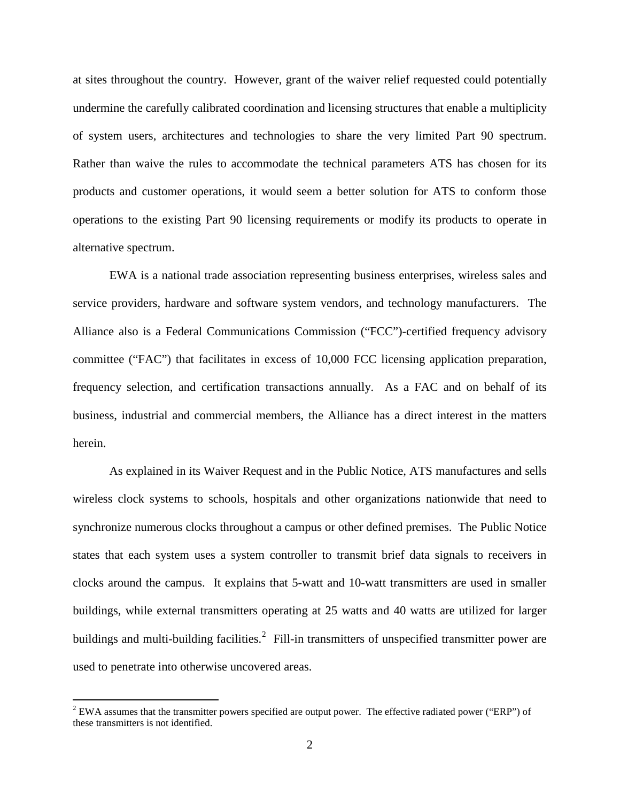at sites throughout the country. However, grant of the waiver relief requested could potentially undermine the carefully calibrated coordination and licensing structures that enable a multiplicity of system users, architectures and technologies to share the very limited Part 90 spectrum. Rather than waive the rules to accommodate the technical parameters ATS has chosen for its products and customer operations, it would seem a better solution for ATS to conform those operations to the existing Part 90 licensing requirements or modify its products to operate in alternative spectrum.

EWA is a national trade association representing business enterprises, wireless sales and service providers, hardware and software system vendors, and technology manufacturers. The Alliance also is a Federal Communications Commission ("FCC")-certified frequency advisory committee ("FAC") that facilitates in excess of 10,000 FCC licensing application preparation, frequency selection, and certification transactions annually. As a FAC and on behalf of its business, industrial and commercial members, the Alliance has a direct interest in the matters herein.

As explained in its Waiver Request and in the Public Notice, ATS manufactures and sells wireless clock systems to schools, hospitals and other organizations nationwide that need to synchronize numerous clocks throughout a campus or other defined premises. The Public Notice states that each system uses a system controller to transmit brief data signals to receivers in clocks around the campus. It explains that 5-watt and 10-watt transmitters are used in smaller buildings, while external transmitters operating at 25 watts and 40 watts are utilized for larger buildings and multi-building facilities.<sup>[2](#page-1-0)</sup> Fill-in transmitters of unspecified transmitter power are used to penetrate into otherwise uncovered areas.

<span id="page-1-0"></span> $2$  EWA assumes that the transmitter powers specified are output power. The effective radiated power ("ERP") of these transmitters is not identified.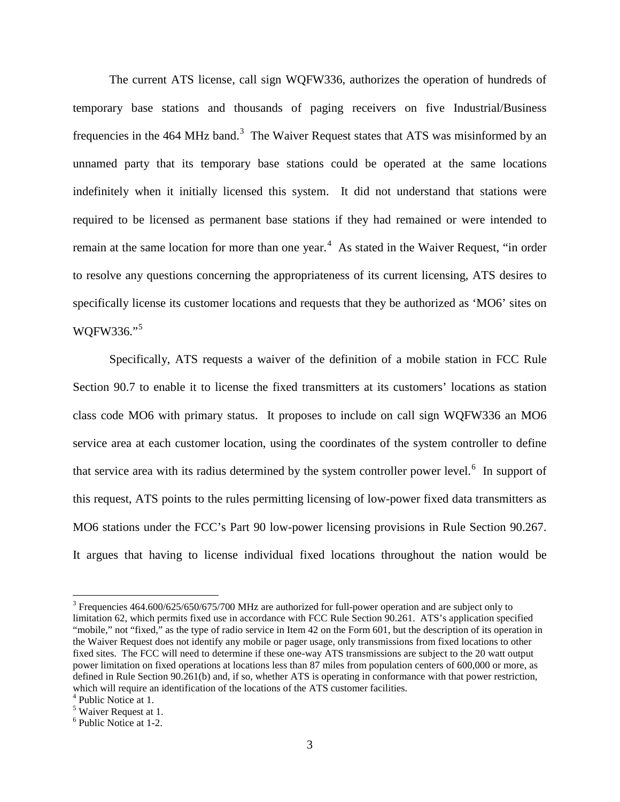The current ATS license, call sign WQFW336, authorizes the operation of hundreds of temporary base stations and thousands of paging receivers on five Industrial/Business frequencies in the 464 MHz band.<sup>[3](#page-2-0)</sup> The Waiver Request states that ATS was misinformed by an unnamed party that its temporary base stations could be operated at the same locations indefinitely when it initially licensed this system. It did not understand that stations were required to be licensed as permanent base stations if they had remained or were intended to remain at the same location for more than one year.<sup>[4](#page-2-1)</sup> As stated in the Waiver Request, "in order to resolve any questions concerning the appropriateness of its current licensing, ATS desires to specifically license its customer locations and requests that they be authorized as 'MO6' sites on WQFW336."[5](#page-2-2)

Specifically, ATS requests a waiver of the definition of a mobile station in FCC Rule Section 90.7 to enable it to license the fixed transmitters at its customers' locations as station class code MO6 with primary status. It proposes to include on call sign WQFW336 an MO6 service area at each customer location, using the coordinates of the system controller to define that service area with its radius determined by the system controller power level.<sup>[6](#page-2-3)</sup> In support of this request, ATS points to the rules permitting licensing of low-power fixed data transmitters as MO6 stations under the FCC's Part 90 low-power licensing provisions in Rule Section 90.267. It argues that having to license individual fixed locations throughout the nation would be

<span id="page-2-0"></span><sup>&</sup>lt;sup>3</sup> Frequencies 464.600/625/650/675/700 MHz are authorized for full-power operation and are subject only to limitation 62, which permits fixed use in accordance with FCC Rule Section 90.261. ATS's application specified "mobile," not "fixed," as the type of radio service in Item 42 on the Form 601, but the description of its operation in the Waiver Request does not identify any mobile or pager usage, only transmissions from fixed locations to other fixed sites. The FCC will need to determine if these one-way ATS transmissions are subject to the 20 watt output power limitation on fixed operations at locations less than 87 miles from population centers of 600,000 or more, as defined in Rule Section 90.261(b) and, if so, whether ATS is operating in conformance with that power restriction, which will require an identification of the locations of the ATS customer facilities.

<span id="page-2-1"></span><sup>4</sup> Public Notice at 1.

<span id="page-2-2"></span><sup>5</sup> Waiver Request at 1.

<span id="page-2-3"></span><sup>6</sup> Public Notice at 1-2.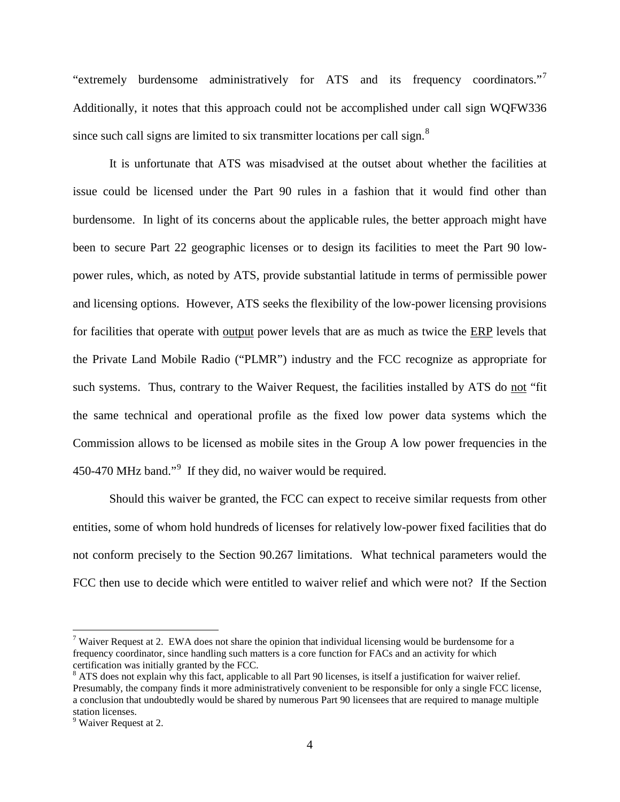"extremely burdensome administratively for ATS and its frequency coordinators."<sup>[7](#page-3-0)</sup> Additionally, it notes that this approach could not be accomplished under call sign WQFW336 since such call signs are limited to six transmitter locations per call sign. $8$ 

It is unfortunate that ATS was misadvised at the outset about whether the facilities at issue could be licensed under the Part 90 rules in a fashion that it would find other than burdensome. In light of its concerns about the applicable rules, the better approach might have been to secure Part 22 geographic licenses or to design its facilities to meet the Part 90 lowpower rules, which, as noted by ATS, provide substantial latitude in terms of permissible power and licensing options. However, ATS seeks the flexibility of the low-power licensing provisions for facilities that operate with output power levels that are as much as twice the ERP levels that the Private Land Mobile Radio ("PLMR") industry and the FCC recognize as appropriate for such systems. Thus, contrary to the Waiver Request, the facilities installed by ATS do not "fit the same technical and operational profile as the fixed low power data systems which the Commission allows to be licensed as mobile sites in the Group A low power frequencies in the 450-470 MHz band."<sup>[9](#page-3-2)</sup> If they did, no waiver would be required.

Should this waiver be granted, the FCC can expect to receive similar requests from other entities, some of whom hold hundreds of licenses for relatively low-power fixed facilities that do not conform precisely to the Section 90.267 limitations. What technical parameters would the FCC then use to decide which were entitled to waiver relief and which were not? If the Section

<span id="page-3-0"></span><sup>&</sup>lt;sup>7</sup> Waiver Request at 2. EWA does not share the opinion that individual licensing would be burdensome for a frequency coordinator, since handling such matters is a core function for FACs and an activity for which certification was initially granted by the FCC.

<span id="page-3-1"></span><sup>&</sup>lt;sup>8</sup> ATS does not explain why this fact, applicable to all Part 90 licenses, is itself a justification for waiver relief. Presumably, the company finds it more administratively convenient to be responsible for only a single FCC license, a conclusion that undoubtedly would be shared by numerous Part 90 licensees that are required to manage multiple station licenses.

<span id="page-3-2"></span><sup>&</sup>lt;sup>9</sup> Waiver Request at 2.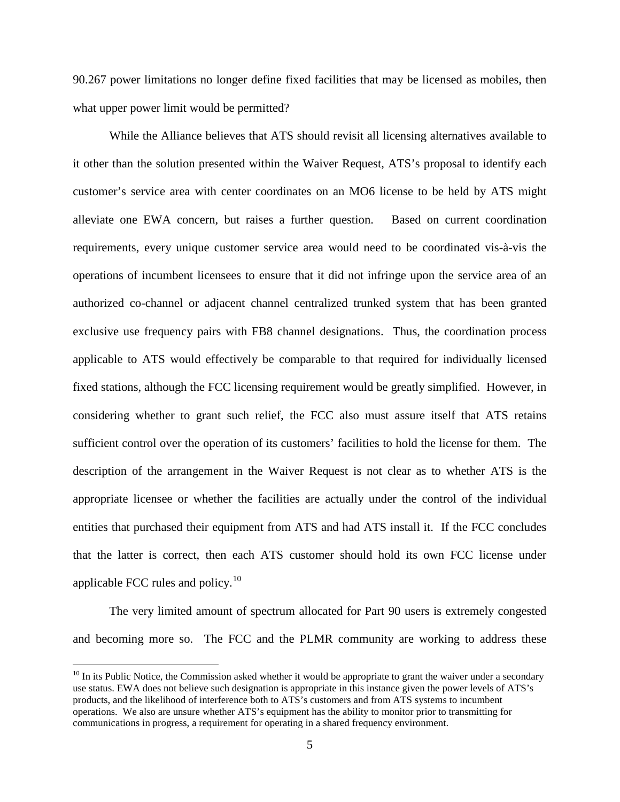90.267 power limitations no longer define fixed facilities that may be licensed as mobiles, then what upper power limit would be permitted?

While the Alliance believes that ATS should revisit all licensing alternatives available to it other than the solution presented within the Waiver Request, ATS's proposal to identify each customer's service area with center coordinates on an MO6 license to be held by ATS might alleviate one EWA concern, but raises a further question. Based on current coordination requirements, every unique customer service area would need to be coordinated vis-à-vis the operations of incumbent licensees to ensure that it did not infringe upon the service area of an authorized co-channel or adjacent channel centralized trunked system that has been granted exclusive use frequency pairs with FB8 channel designations. Thus, the coordination process applicable to ATS would effectively be comparable to that required for individually licensed fixed stations, although the FCC licensing requirement would be greatly simplified. However, in considering whether to grant such relief, the FCC also must assure itself that ATS retains sufficient control over the operation of its customers' facilities to hold the license for them. The description of the arrangement in the Waiver Request is not clear as to whether ATS is the appropriate licensee or whether the facilities are actually under the control of the individual entities that purchased their equipment from ATS and had ATS install it. If the FCC concludes that the latter is correct, then each ATS customer should hold its own FCC license under applicable FCC rules and policy. $10$ 

The very limited amount of spectrum allocated for Part 90 users is extremely congested and becoming more so. The FCC and the PLMR community are working to address these

<span id="page-4-0"></span> $10$  In its Public Notice, the Commission asked whether it would be appropriate to grant the waiver under a secondary use status. EWA does not believe such designation is appropriate in this instance given the power levels of ATS's products, and the likelihood of interference both to ATS's customers and from ATS systems to incumbent operations. We also are unsure whether ATS's equipment has the ability to monitor prior to transmitting for communications in progress, a requirement for operating in a shared frequency environment.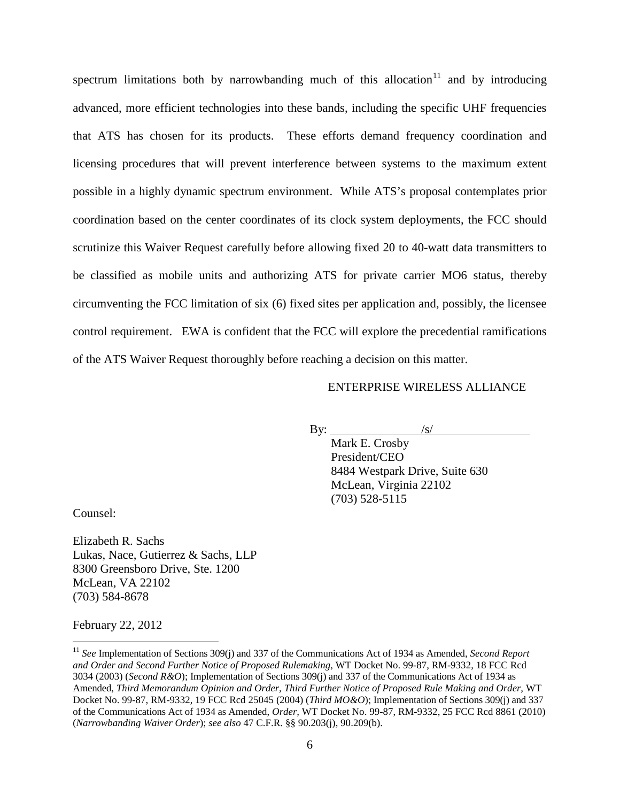spectrum limitations both by narrowbanding much of this allocation $11$  and by introducing advanced, more efficient technologies into these bands, including the specific UHF frequencies that ATS has chosen for its products. These efforts demand frequency coordination and licensing procedures that will prevent interference between systems to the maximum extent possible in a highly dynamic spectrum environment. While ATS's proposal contemplates prior coordination based on the center coordinates of its clock system deployments, the FCC should scrutinize this Waiver Request carefully before allowing fixed 20 to 40-watt data transmitters to be classified as mobile units and authorizing ATS for private carrier MO6 status, thereby circumventing the FCC limitation of six (6) fixed sites per application and, possibly, the licensee control requirement. EWA is confident that the FCC will explore the precedential ramifications of the ATS Waiver Request thoroughly before reaching a decision on this matter.

## ENTERPRISE WIRELESS ALLIANCE

By:  $\frac{|s|}{|s|}$ 

Mark E. Crosby President/CEO 8484 Westpark Drive, Suite 630 McLean, Virginia 22102 (703) 528-5115

Counsel:

Elizabeth R. Sachs Lukas, Nace, Gutierrez & Sachs, LLP 8300 Greensboro Drive, Ste. 1200 McLean, VA 22102 (703) 584-8678

February 22, 2012

<span id="page-5-0"></span> <sup>11</sup> *See* Implementation of Sections 309(j) and 337 of the Communications Act of 1934 as Amended, *Second Report and Order and Second Further Notice of Proposed Rulemaking,* WT Docket No. 99-87, RM-9332, 18 FCC Rcd 3034 (2003) (*Second R&O*); Implementation of Sections 309(j) and 337 of the Communications Act of 1934 as Amended, *Third Memorandum Opinion and Order, Third Further Notice of Proposed Rule Making and Order,* WT Docket No. 99-87, RM-9332, 19 FCC Rcd 25045 (2004) (*Third MO&O*); Implementation of Sections 309(j) and 337 of the Communications Act of 1934 as Amended, *Order,* WT Docket No. 99-87, RM-9332, 25 FCC Rcd 8861 (2010) (*Narrowbanding Waiver Order*); *see also* 47 C.F.R. §§ 90.203(j), 90.209(b).